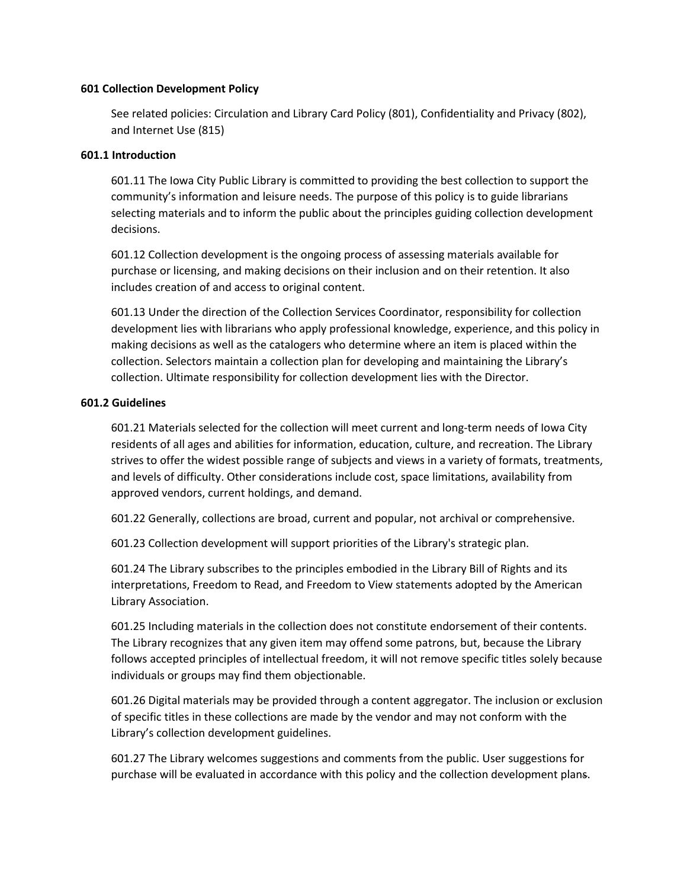#### **601 Collection Development Policy**

See related policies: Circulation and Library Card Policy (801), Confidentiality and Privacy (802), and Internet Use (815)

#### **601.1 Introduction**

601.11 The Iowa City Public Library is committed to providing the best collection to support the community's information and leisure needs. The purpose of this policy is to guide librarians selecting materials and to inform the public about the principles guiding collection development decisions.

601.12 Collection development is the ongoing process of assessing materials available for purchase or licensing, and making decisions on their inclusion and on their retention. It also includes creation of and access to original content.

601.13 Under the direction of the Collection Services Coordinator, responsibility for collection development lies with librarians who apply professional knowledge, experience, and this policy in making decisions as well as the catalogers who determine where an item is placed within the collection. Selectors maintain a collection plan for developing and maintaining the Library's collection. Ultimate responsibility for collection development lies with the Director.

### **601.2 Guidelines**

601.21 Materials selected for the collection will meet current and long-term needs of Iowa City residents of all ages and abilities for information, education, culture, and recreation. The Library strives to offer the widest possible range of subjects and views in a variety of formats, treatments, and levels of difficulty. Other considerations include cost, space limitations, availability from approved vendors, current holdings, and demand.

601.22 Generally, collections are broad, current and popular, not archival or comprehensive.

601.23 Collection development will support priorities of the Library's strategic plan.

601.24 The Library subscribes to the principles embodied in the Library Bill of Rights and its interpretations, Freedom to Read, and Freedom to View statements adopted by the American Library Association.

601.25 Including materials in the collection does not constitute endorsement of their contents. The Library recognizes that any given item may offend some patrons, but, because the Library follows accepted principles of intellectual freedom, it will not remove specific titles solely because individuals or groups may find them objectionable.

601.26 Digital materials may be provided through a content aggregator. The inclusion or exclusion of specific titles in these collections are made by the vendor and may not conform with the Library's collection development guidelines.

601.27 The Library welcomes suggestions and comments from the public. User suggestions for purchase will be evaluated in accordance with this policy and the collection development plans.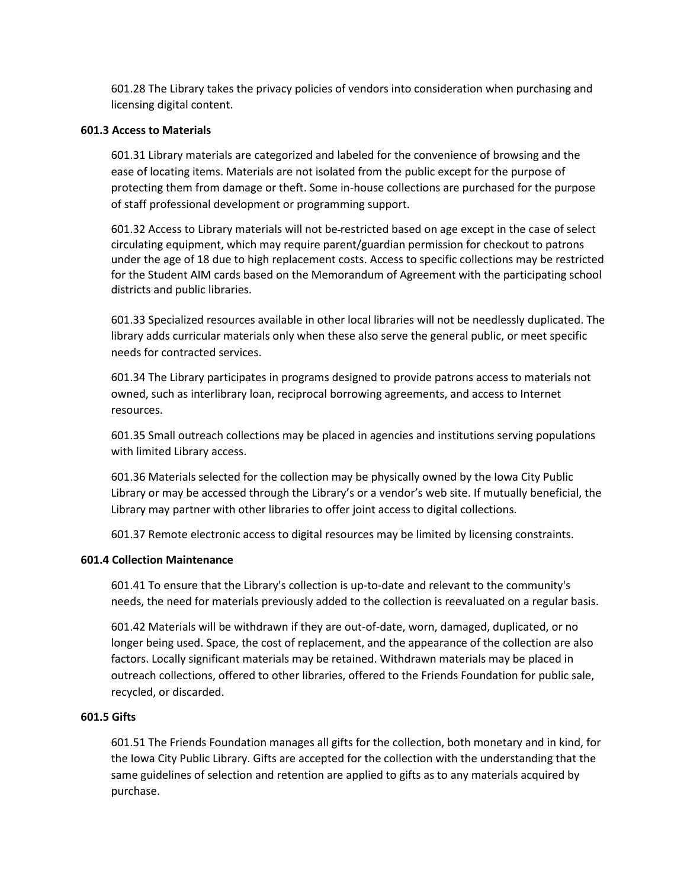601.28 The Library takes the privacy policies of vendors into consideration when purchasing and licensing digital content.

#### **601.3 Access to Materials**

601.31 Library materials are categorized and labeled for the convenience of browsing and the ease of locating items. Materials are not isolated from the public except for the purpose of protecting them from damage or theft. Some in-house collections are purchased for the purpose of staff professional development or programming support.

601.32 Access to Library materials will not be restricted based on age except in the case of select circulating equipment, which may require parent/guardian permission for checkout to patrons under the age of 18 due to high replacement costs. Access to specific collections may be restricted for the Student AIM cards based on the Memorandum of Agreement with the participating school districts and public libraries.

601.33 Specialized resources available in other local libraries will not be needlessly duplicated. The library adds curricular materials only when these also serve the general public, or meet specific needs for contracted services.

601.34 The Library participates in programs designed to provide patrons access to materials not owned, such as interlibrary loan, reciprocal borrowing agreements, and access to Internet resources.

601.35 Small outreach collections may be placed in agencies and institutions serving populations with limited Library access.

601.36 Materials selected for the collection may be physically owned by the Iowa City Public Library or may be accessed through the Library's or a vendor's web site. If mutually beneficial, the Library may partner with other libraries to offer joint access to digital collections.

601.37 Remote electronic access to digital resources may be limited by licensing constraints.

## **601.4 Collection Maintenance**

601.41 To ensure that the Library's collection is up-to-date and relevant to the community's needs, the need for materials previously added to the collection is reevaluated on a regular basis.

601.42 Materials will be withdrawn if they are out-of-date, worn, damaged, duplicated, or no longer being used. Space, the cost of replacement, and the appearance of the collection are also factors. Locally significant materials may be retained. Withdrawn materials may be placed in outreach collections, offered to other libraries, offered to the Friends Foundation for public sale, recycled, or discarded.

# **601.5 Gifts**

601.51 The Friends Foundation manages all gifts for the collection, both monetary and in kind, for the Iowa City Public Library. Gifts are accepted for the collection with the understanding that the same guidelines of selection and retention are applied to gifts as to any materials acquired by purchase.